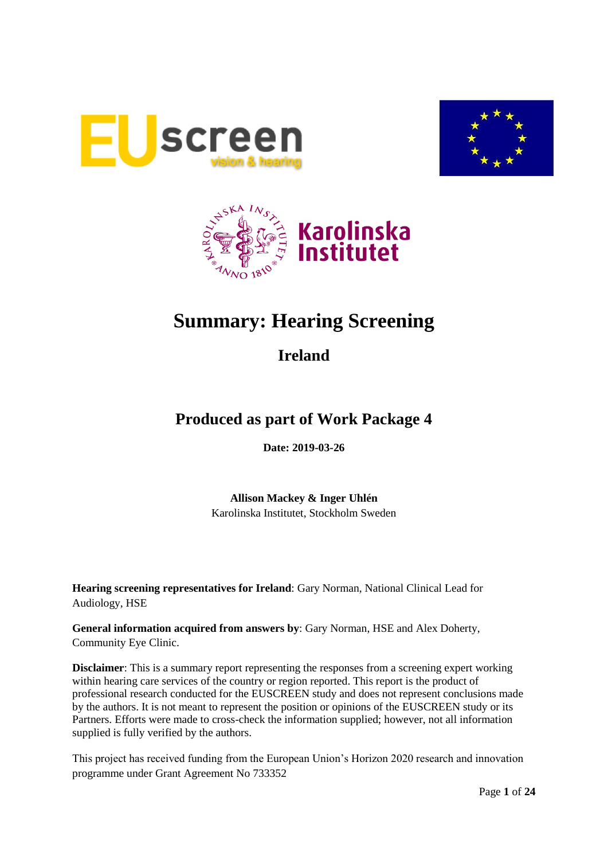





# **Summary: Hearing Screening**

**Ireland**

# **Produced as part of Work Package 4**

**Date: 2019-03-26**

**Allison Mackey & Inger Uhlén** Karolinska Institutet, Stockholm Sweden

**Hearing screening representatives for Ireland**: Gary Norman, National Clinical Lead for Audiology, HSE

**General information acquired from answers by**: Gary Norman, HSE and Alex Doherty, Community Eye Clinic.

**Disclaimer**: This is a summary report representing the responses from a screening expert working within hearing care services of the country or region reported. This report is the product of professional research conducted for the EUSCREEN study and does not represent conclusions made by the authors. It is not meant to represent the position or opinions of the EUSCREEN study or its Partners. Efforts were made to cross-check the information supplied; however, not all information supplied is fully verified by the authors.

This project has received funding from the European Union's Horizon 2020 research and innovation programme under Grant Agreement No 733352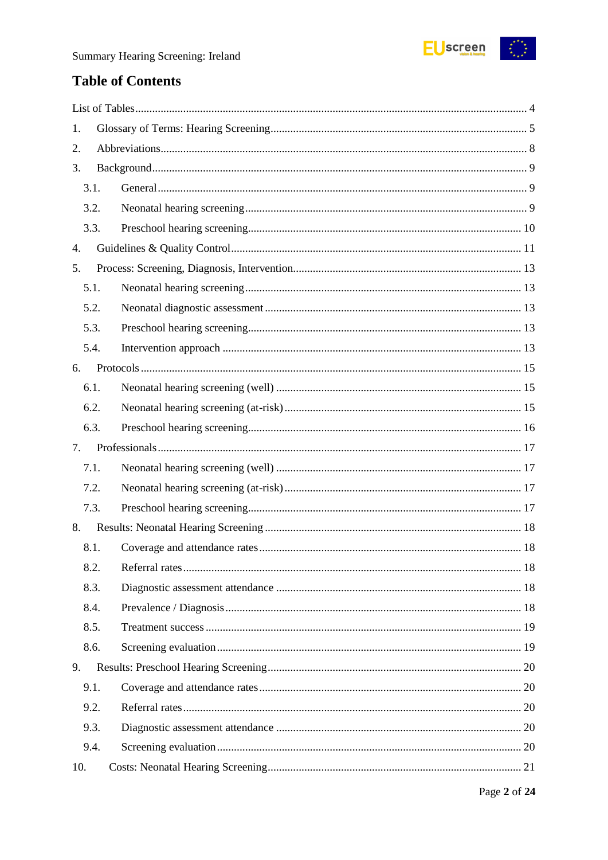

# **Table of Contents**

| 1. |      |  |
|----|------|--|
| 2. |      |  |
| 3. |      |  |
|    | 3.1. |  |
|    | 3.2. |  |
|    | 3.3. |  |
| 4. |      |  |
| 5. |      |  |
|    | 5.1. |  |
|    | 5.2. |  |
|    | 5.3. |  |
|    | 5.4. |  |
| 6. |      |  |
|    | 6.1. |  |
|    | 6.2. |  |
|    | 6.3. |  |
| 7. |      |  |
|    | 7.1. |  |
|    |      |  |
|    | 7.2. |  |
|    | 7.3. |  |
| 8. |      |  |
|    | 8.1. |  |
|    | 8.2. |  |
|    | 8.3. |  |
|    | 8.4. |  |
|    | 8.5. |  |
|    | 8.6. |  |
| 9. |      |  |
|    | 9.1. |  |
|    | 9.2. |  |
|    | 9.3. |  |
|    | 9.4. |  |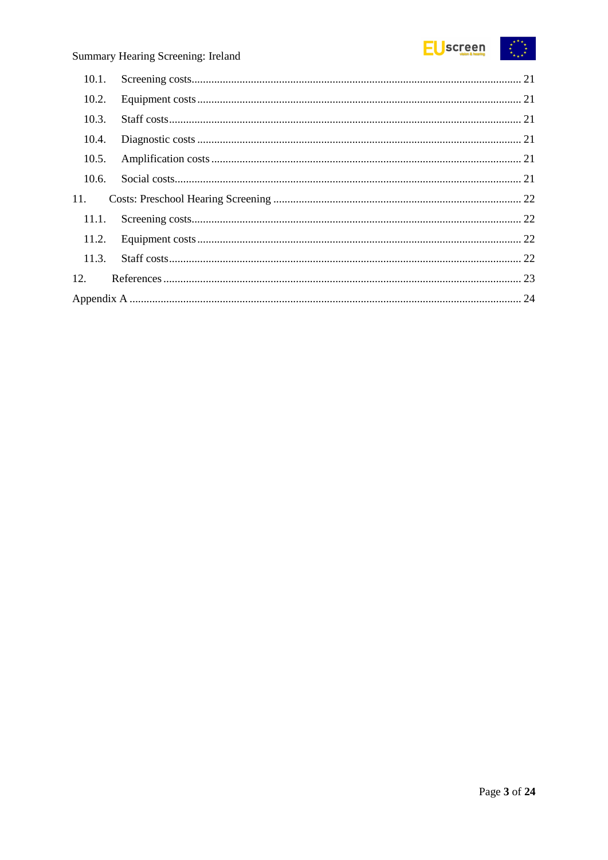

| 10.1. |  |
|-------|--|
| 10.2. |  |
| 10.3. |  |
| 10.4. |  |
| 10.5. |  |
| 10.6. |  |
| 11.   |  |
| 11.1. |  |
| 11.2. |  |
| 11.3. |  |
| 12.   |  |
|       |  |
|       |  |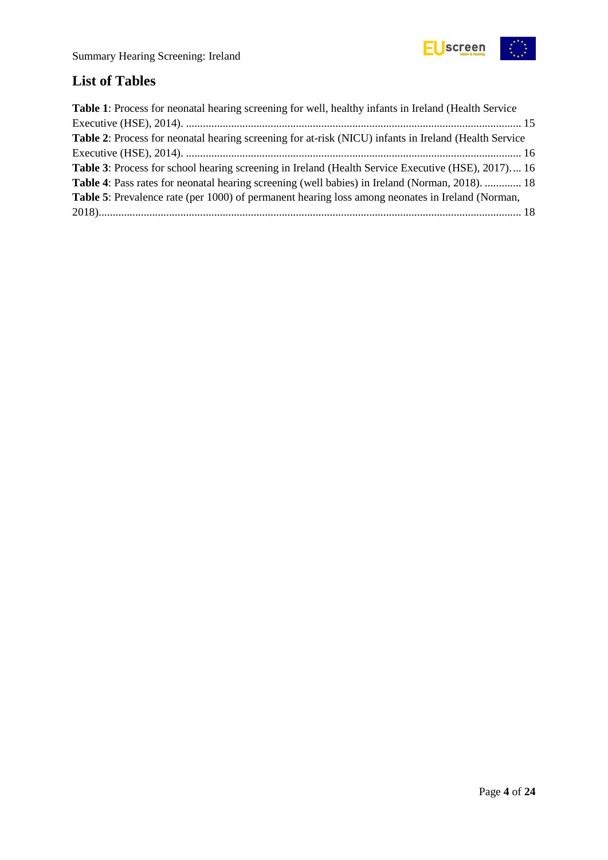

# <span id="page-3-0"></span>**List of Tables**

| <b>Table 1:</b> Process for neonatal hearing screening for well, healthy infants in Ireland (Health Service  |
|--------------------------------------------------------------------------------------------------------------|
|                                                                                                              |
| <b>Table 2:</b> Process for neonatal hearing screening for at-risk (NICU) infants in Ireland (Health Service |
|                                                                                                              |
| <b>Table 3:</b> Process for school hearing screening in Ireland (Health Service Executive (HSE), 2017) 16    |
| Table 4: Pass rates for neonatal hearing screening (well babies) in Ireland (Norman, 2018).  18              |
| <b>Table 5:</b> Prevalence rate (per 1000) of permanent hearing loss among neonates in Ireland (Norman,      |
|                                                                                                              |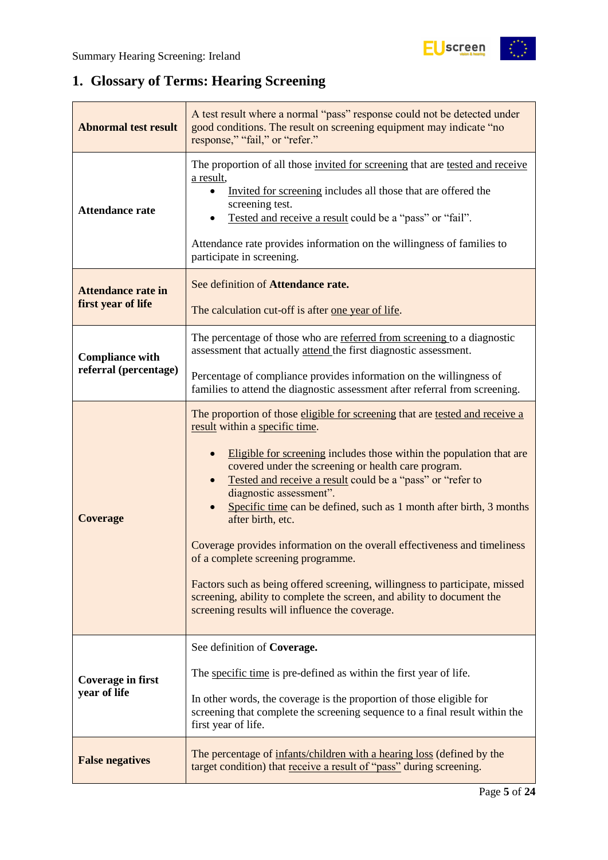$\begin{pmatrix} x^{\alpha} & x^{\alpha} \\ x^{\alpha} & x^{\alpha} \end{pmatrix}$ 

# <span id="page-4-0"></span>**1. Glossary of Terms: Hearing Screening**

| <b>Abnormal test result</b>                     | A test result where a normal "pass" response could not be detected under<br>good conditions. The result on screening equipment may indicate "no<br>response," "fail," or "refer."                                                                                                                                                                                                                                                                                                                                                                                                                                                                                                                                                                                |
|-------------------------------------------------|------------------------------------------------------------------------------------------------------------------------------------------------------------------------------------------------------------------------------------------------------------------------------------------------------------------------------------------------------------------------------------------------------------------------------------------------------------------------------------------------------------------------------------------------------------------------------------------------------------------------------------------------------------------------------------------------------------------------------------------------------------------|
| <b>Attendance rate</b>                          | The proportion of all those invited for screening that are tested and receive<br>a result,<br>Invited for screening includes all those that are offered the<br>screening test.<br>Tested and receive a result could be a "pass" or "fail".<br>Attendance rate provides information on the willingness of families to<br>participate in screening.                                                                                                                                                                                                                                                                                                                                                                                                                |
| <b>Attendance rate in</b><br>first year of life | See definition of Attendance rate.<br>The calculation cut-off is after one year of life.                                                                                                                                                                                                                                                                                                                                                                                                                                                                                                                                                                                                                                                                         |
| <b>Compliance with</b><br>referral (percentage) | The percentage of those who are referred from screening to a diagnostic<br>assessment that actually attend the first diagnostic assessment.                                                                                                                                                                                                                                                                                                                                                                                                                                                                                                                                                                                                                      |
|                                                 | Percentage of compliance provides information on the willingness of<br>families to attend the diagnostic assessment after referral from screening.                                                                                                                                                                                                                                                                                                                                                                                                                                                                                                                                                                                                               |
| <b>Coverage</b>                                 | The proportion of those eligible for screening that are tested and receive a<br>result within a specific time.<br>Eligible for screening includes those within the population that are<br>covered under the screening or health care program.<br>Tested and receive a result could be a "pass" or "refer to<br>diagnostic assessment".<br>Specific time can be defined, such as 1 month after birth, 3 months<br>after birth, etc.<br>Coverage provides information on the overall effectiveness and timeliness<br>of a complete screening programme.<br>Factors such as being offered screening, willingness to participate, missed<br>screening, ability to complete the screen, and ability to document the<br>screening results will influence the coverage. |
| Coverage in first<br>year of life               | See definition of Coverage.<br>The specific time is pre-defined as within the first year of life.<br>In other words, the coverage is the proportion of those eligible for<br>screening that complete the screening sequence to a final result within the<br>first year of life.                                                                                                                                                                                                                                                                                                                                                                                                                                                                                  |
| <b>False negatives</b>                          | The percentage of infants/children with a hearing loss (defined by the<br>target condition) that receive a result of "pass" during screening.                                                                                                                                                                                                                                                                                                                                                                                                                                                                                                                                                                                                                    |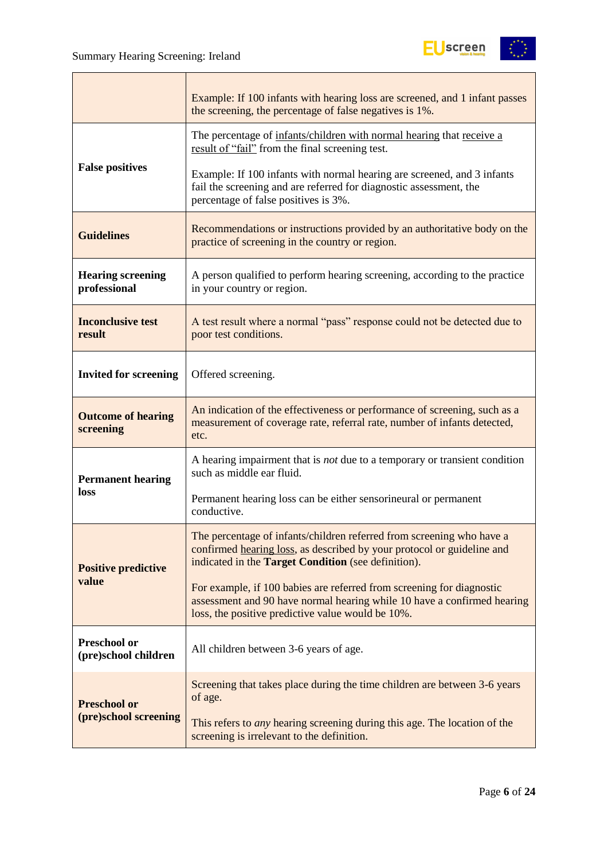

|                                             | Example: If 100 infants with hearing loss are screened, and 1 infant passes<br>the screening, the percentage of false negatives is 1%.                                                                        |  |  |
|---------------------------------------------|---------------------------------------------------------------------------------------------------------------------------------------------------------------------------------------------------------------|--|--|
|                                             | The percentage of infants/children with normal hearing that receive a<br>result of "fail" from the final screening test.                                                                                      |  |  |
| <b>False positives</b>                      | Example: If 100 infants with normal hearing are screened, and 3 infants<br>fail the screening and are referred for diagnostic assessment, the<br>percentage of false positives is 3%.                         |  |  |
| <b>Guidelines</b>                           | Recommendations or instructions provided by an authoritative body on the<br>practice of screening in the country or region.                                                                                   |  |  |
| <b>Hearing screening</b><br>professional    | A person qualified to perform hearing screening, according to the practice<br>in your country or region.                                                                                                      |  |  |
| <b>Inconclusive test</b><br>result          | A test result where a normal "pass" response could not be detected due to<br>poor test conditions.                                                                                                            |  |  |
| <b>Invited for screening</b>                | Offered screening.                                                                                                                                                                                            |  |  |
| <b>Outcome of hearing</b><br>screening      | An indication of the effectiveness or performance of screening, such as a<br>measurement of coverage rate, referral rate, number of infants detected,<br>etc.                                                 |  |  |
| <b>Permanent hearing</b>                    | A hearing impairment that is <i>not</i> due to a temporary or transient condition<br>such as middle ear fluid.                                                                                                |  |  |
| loss                                        | Permanent hearing loss can be either sensorineural or permanent<br>conductive.                                                                                                                                |  |  |
| <b>Positive predictive</b>                  | The percentage of infants/children referred from screening who have a<br>confirmed hearing loss, as described by your protocol or guideline and<br>indicated in the <b>Target Condition</b> (see definition). |  |  |
| value                                       | For example, if 100 babies are referred from screening for diagnostic<br>assessment and 90 have normal hearing while 10 have a confirmed hearing<br>loss, the positive predictive value would be 10%.         |  |  |
| <b>Preschool or</b><br>(pre)school children | All children between 3-6 years of age.                                                                                                                                                                        |  |  |
| <b>Preschool or</b>                         | Screening that takes place during the time children are between 3-6 years<br>of age.                                                                                                                          |  |  |
| (pre)school screening                       | This refers to <i>any</i> hearing screening during this age. The location of the<br>screening is irrelevant to the definition.                                                                                |  |  |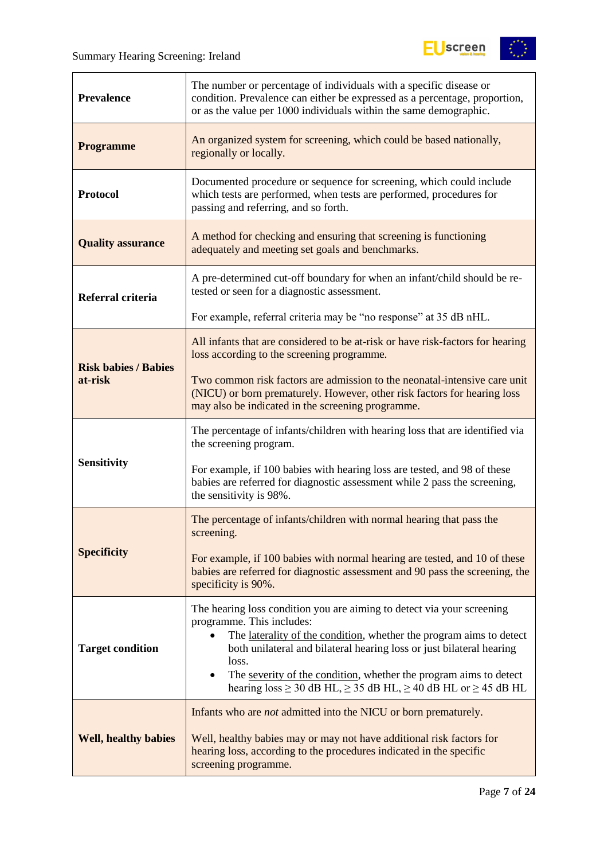

| <b>Prevalence</b>           | The number or percentage of individuals with a specific disease or<br>condition. Prevalence can either be expressed as a percentage, proportion,<br>or as the value per 1000 individuals within the same demographic.                                                                                                                                                                                                              |
|-----------------------------|------------------------------------------------------------------------------------------------------------------------------------------------------------------------------------------------------------------------------------------------------------------------------------------------------------------------------------------------------------------------------------------------------------------------------------|
| <b>Programme</b>            | An organized system for screening, which could be based nationally,<br>regionally or locally.                                                                                                                                                                                                                                                                                                                                      |
| <b>Protocol</b>             | Documented procedure or sequence for screening, which could include<br>which tests are performed, when tests are performed, procedures for<br>passing and referring, and so forth.                                                                                                                                                                                                                                                 |
| <b>Quality assurance</b>    | A method for checking and ensuring that screening is functioning<br>adequately and meeting set goals and benchmarks.                                                                                                                                                                                                                                                                                                               |
| Referral criteria           | A pre-determined cut-off boundary for when an infant/child should be re-<br>tested or seen for a diagnostic assessment.                                                                                                                                                                                                                                                                                                            |
|                             | For example, referral criteria may be "no response" at 35 dB nHL.                                                                                                                                                                                                                                                                                                                                                                  |
| <b>Risk babies / Babies</b> | All infants that are considered to be at-risk or have risk-factors for hearing<br>loss according to the screening programme.                                                                                                                                                                                                                                                                                                       |
| at-risk                     | Two common risk factors are admission to the neonatal-intensive care unit<br>(NICU) or born prematurely. However, other risk factors for hearing loss<br>may also be indicated in the screening programme.                                                                                                                                                                                                                         |
|                             | The percentage of infants/children with hearing loss that are identified via<br>the screening program.                                                                                                                                                                                                                                                                                                                             |
| <b>Sensitivity</b>          | For example, if 100 babies with hearing loss are tested, and 98 of these<br>babies are referred for diagnostic assessment while 2 pass the screening,<br>the sensitivity is 98%.                                                                                                                                                                                                                                                   |
|                             | The percentage of infants/children with normal hearing that pass the<br>screening.                                                                                                                                                                                                                                                                                                                                                 |
| <b>Specificity</b>          | For example, if 100 babies with normal hearing are tested, and 10 of these<br>babies are referred for diagnostic assessment and 90 pass the screening, the<br>specificity is 90%.                                                                                                                                                                                                                                                  |
| <b>Target condition</b>     | The hearing loss condition you are aiming to detect via your screening<br>programme. This includes:<br>The laterality of the condition, whether the program aims to detect<br>$\bullet$<br>both unilateral and bilateral hearing loss or just bilateral hearing<br>loss.<br>The severity of the condition, whether the program aims to detect<br>hearing loss $\geq$ 30 dB HL, $\geq$ 35 dB HL, $\geq$ 40 dB HL or $\geq$ 45 dB HL |
| <b>Well, healthy babies</b> | Infants who are <i>not</i> admitted into the NICU or born prematurely.<br>Well, healthy babies may or may not have additional risk factors for<br>hearing loss, according to the procedures indicated in the specific<br>screening programme.                                                                                                                                                                                      |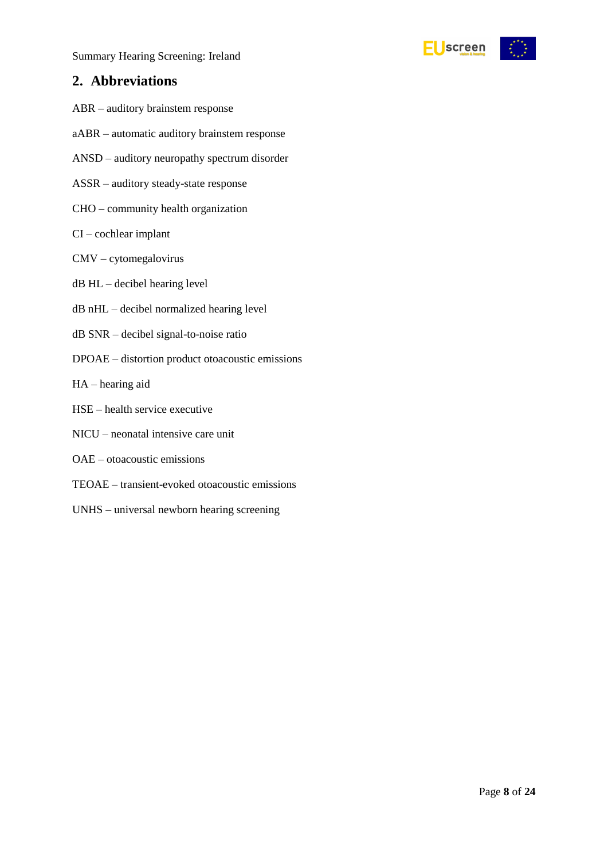# <span id="page-7-0"></span>**2. Abbreviations**

- ABR auditory brainstem response
- aABR automatic auditory brainstem response
- ANSD auditory neuropathy spectrum disorder
- ASSR auditory steady-state response
- CHO community health organization
- CI cochlear implant
- CMV cytomegalovirus
- dB HL decibel hearing level
- dB nHL decibel normalized hearing level
- dB SNR decibel signal-to-noise ratio
- DPOAE distortion product otoacoustic emissions
- HA hearing aid
- HSE health service executive
- NICU neonatal intensive care unit
- OAE otoacoustic emissions
- TEOAE transient-evoked otoacoustic emissions
- UNHS universal newborn hearing screening

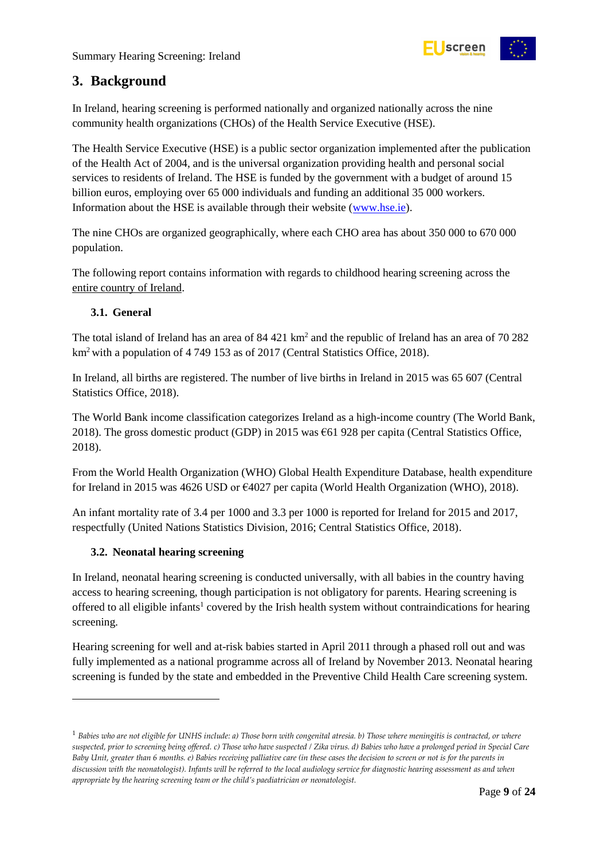

# <span id="page-8-0"></span>**3. Background**

In Ireland, hearing screening is performed nationally and organized nationally across the nine community health organizations (CHOs) of the Health Service Executive (HSE).

The Health Service Executive (HSE) is a public sector organization implemented after the publication of the Health Act of 2004, and is the universal organization providing health and personal social services to residents of Ireland. The HSE is funded by the government with a budget of around 15 billion euros, employing over 65 000 individuals and funding an additional 35 000 workers. Information about the HSE is available through their website [\(www.hse.ie\)](http://www.hse.ie/).

The nine CHOs are organized geographically, where each CHO area has about 350 000 to 670 000 population.

The following report contains information with regards to childhood hearing screening across the entire country of Ireland.

# <span id="page-8-1"></span>**3.1. General**

The total island of Ireland has an area of  $84\,421\ \text{km}^2$  and the republic of Ireland has an area of  $70\,282$  $km<sup>2</sup>$  with a population of 4 749 153 as of 2017 (Central Statistics Office, 2018).

In Ireland, all births are registered. The number of live births in Ireland in 2015 was 65 607 (Central Statistics Office, 2018).

The World Bank income classification categorizes Ireland as a high-income country (The World Bank, 2018). The gross domestic product (GDP) in 2015 was €61 928 per capita (Central Statistics Office, 2018).

From the World Health Organization (WHO) Global Health Expenditure Database, health expenditure for Ireland in 2015 was 4626 USD or €4027 per capita (World Health Organization (WHO), 2018).

An infant mortality rate of 3.4 per 1000 and 3.3 per 1000 is reported for Ireland for 2015 and 2017, respectfully (United Nations Statistics Division, 2016; Central Statistics Office, 2018).

# <span id="page-8-2"></span>**3.2. Neonatal hearing screening**

-

In Ireland, neonatal hearing screening is conducted universally, with all babies in the country having access to hearing screening, though participation is not obligatory for parents. Hearing screening is offered to all eligible infants<sup>1</sup> covered by the Irish health system without contraindications for hearing screening.

Hearing screening for well and at-risk babies started in April 2011 through a phased roll out and was fully implemented as a national programme across all of Ireland by November 2013. Neonatal hearing screening is funded by the state and embedded in the Preventive Child Health Care screening system.

<sup>1</sup> *Babies who are not eligible for UNHS include: a) Those born with congenital atresia. b) Those where meningitis is contracted, or where suspected, prior to screening being offered. c) Those who have suspected / Zika virus. d) Babies who have a prolonged period in Special Care Baby Unit, greater than 6 months. e) Babies receiving palliative care (in these cases the decision to screen or not is for the parents in discussion with the neonatologist). Infants will be referred to the local audiology service for diagnostic hearing assessment as and when appropriate by the hearing screening team or the child's paediatrician or neonatologist.*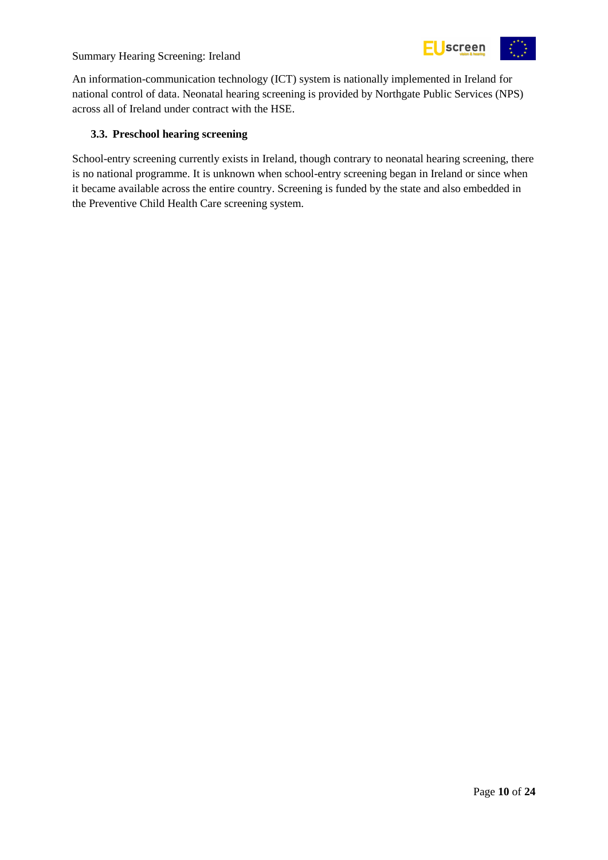

An information-communication technology (ICT) system is nationally implemented in Ireland for national control of data. Neonatal hearing screening is provided by Northgate Public Services (NPS) across all of Ireland under contract with the HSE.

# <span id="page-9-0"></span>**3.3. Preschool hearing screening**

School-entry screening currently exists in Ireland, though contrary to neonatal hearing screening, there is no national programme. It is unknown when school-entry screening began in Ireland or since when it became available across the entire country. Screening is funded by the state and also embedded in the Preventive Child Health Care screening system.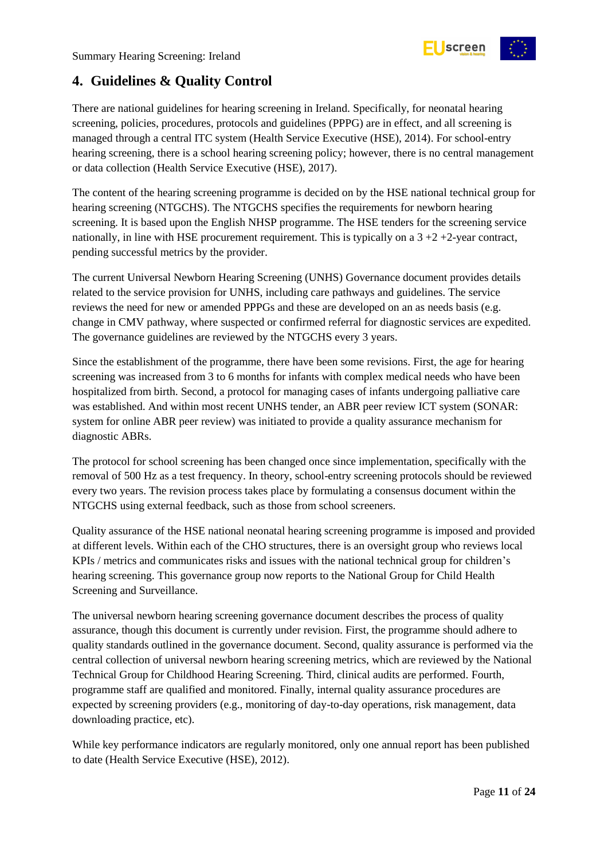

# <span id="page-10-0"></span>**4. Guidelines & Quality Control**

There are national guidelines for hearing screening in Ireland. Specifically, for neonatal hearing screening, policies, procedures, protocols and guidelines (PPPG) are in effect, and all screening is managed through a central ITC system (Health Service Executive (HSE), 2014). For school-entry hearing screening, there is a school hearing screening policy; however, there is no central management or data collection (Health Service Executive (HSE), 2017).

The content of the hearing screening programme is decided on by the HSE national technical group for hearing screening (NTGCHS). The NTGCHS specifies the requirements for newborn hearing screening. It is based upon the English NHSP programme. The HSE tenders for the screening service nationally, in line with HSE procurement requirement. This is typically on a  $3 + 2 + 2$ -year contract, pending successful metrics by the provider.

The current Universal Newborn Hearing Screening (UNHS) Governance document provides details related to the service provision for UNHS, including care pathways and guidelines. The service reviews the need for new or amended PPPGs and these are developed on an as needs basis (e.g. change in CMV pathway, where suspected or confirmed referral for diagnostic services are expedited. The governance guidelines are reviewed by the NTGCHS every 3 years.

Since the establishment of the programme, there have been some revisions. First, the age for hearing screening was increased from 3 to 6 months for infants with complex medical needs who have been hospitalized from birth. Second, a protocol for managing cases of infants undergoing palliative care was established. And within most recent UNHS tender, an ABR peer review ICT system (SONAR: system for online ABR peer review) was initiated to provide a quality assurance mechanism for diagnostic ABRs.

The protocol for school screening has been changed once since implementation, specifically with the removal of 500 Hz as a test frequency. In theory, school-entry screening protocols should be reviewed every two years. The revision process takes place by formulating a consensus document within the NTGCHS using external feedback, such as those from school screeners.

Quality assurance of the HSE national neonatal hearing screening programme is imposed and provided at different levels. Within each of the CHO structures, there is an oversight group who reviews local KPIs / metrics and communicates risks and issues with the national technical group for children's hearing screening. This governance group now reports to the National Group for Child Health Screening and Surveillance.

The universal newborn hearing screening governance document describes the process of quality assurance, though this document is currently under revision. First, the programme should adhere to quality standards outlined in the governance document. Second, quality assurance is performed via the central collection of universal newborn hearing screening metrics, which are reviewed by the National Technical Group for Childhood Hearing Screening. Third, clinical audits are performed. Fourth, programme staff are qualified and monitored. Finally, internal quality assurance procedures are expected by screening providers (e.g., monitoring of day-to-day operations, risk management, data downloading practice, etc).

While key performance indicators are regularly monitored, only one annual report has been published to date (Health Service Executive (HSE), 2012).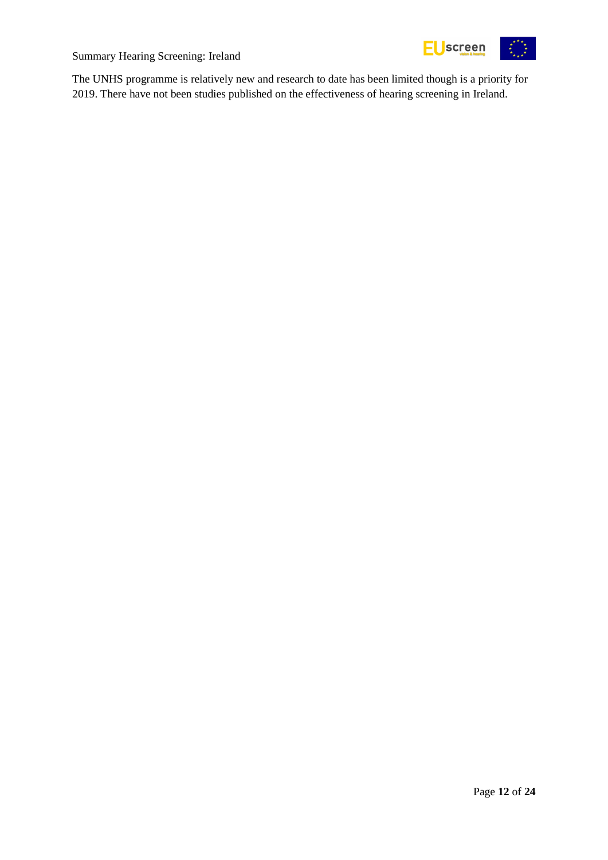

The UNHS programme is relatively new and research to date has been limited though is a priority for 2019. There have not been studies published on the effectiveness of hearing screening in Ireland.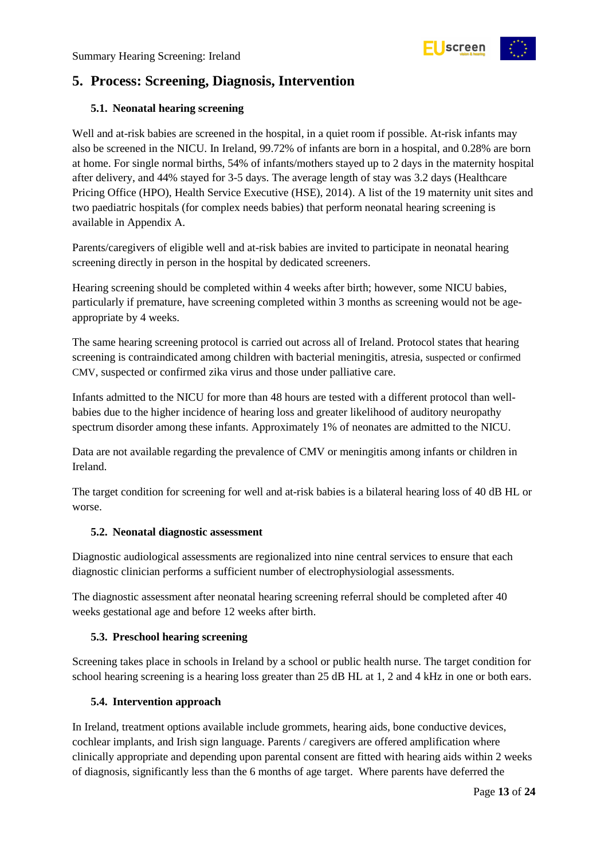

# <span id="page-12-0"></span>**5. Process: Screening, Diagnosis, Intervention**

# <span id="page-12-1"></span>**5.1. Neonatal hearing screening**

Well and at-risk babies are screened in the hospital, in a quiet room if possible. At-risk infants may also be screened in the NICU. In Ireland, 99.72% of infants are born in a hospital, and 0.28% are born at home. For single normal births, 54% of infants/mothers stayed up to 2 days in the maternity hospital after delivery, and 44% stayed for 3-5 days. The average length of stay was 3.2 days (Healthcare Pricing Office (HPO), Health Service Executive (HSE), 2014). A list of the 19 maternity unit sites and two paediatric hospitals (for complex needs babies) that perform neonatal hearing screening is available in Appendix A.

Parents/caregivers of eligible well and at-risk babies are invited to participate in neonatal hearing screening directly in person in the hospital by dedicated screeners.

Hearing screening should be completed within 4 weeks after birth; however, some NICU babies, particularly if premature, have screening completed within 3 months as screening would not be ageappropriate by 4 weeks.

The same hearing screening protocol is carried out across all of Ireland. Protocol states that hearing screening is contraindicated among children with bacterial meningitis, atresia, suspected or confirmed CMV, suspected or confirmed zika virus and those under palliative care.

Infants admitted to the NICU for more than 48 hours are tested with a different protocol than wellbabies due to the higher incidence of hearing loss and greater likelihood of auditory neuropathy spectrum disorder among these infants. Approximately 1% of neonates are admitted to the NICU.

Data are not available regarding the prevalence of CMV or meningitis among infants or children in Ireland.

The target condition for screening for well and at-risk babies is a bilateral hearing loss of 40 dB HL or worse.

# <span id="page-12-2"></span>**5.2. Neonatal diagnostic assessment**

Diagnostic audiological assessments are regionalized into nine central services to ensure that each diagnostic clinician performs a sufficient number of electrophysiologial assessments.

The diagnostic assessment after neonatal hearing screening referral should be completed after 40 weeks gestational age and before 12 weeks after birth.

# <span id="page-12-3"></span>**5.3. Preschool hearing screening**

Screening takes place in schools in Ireland by a school or public health nurse. The target condition for school hearing screening is a hearing loss greater than 25 dB HL at 1, 2 and 4 kHz in one or both ears.

# <span id="page-12-4"></span>**5.4. Intervention approach**

In Ireland, treatment options available include grommets, hearing aids, bone conductive devices, cochlear implants, and Irish sign language. Parents / caregivers are offered amplification where clinically appropriate and depending upon parental consent are fitted with hearing aids within 2 weeks of diagnosis, significantly less than the 6 months of age target. Where parents have deferred the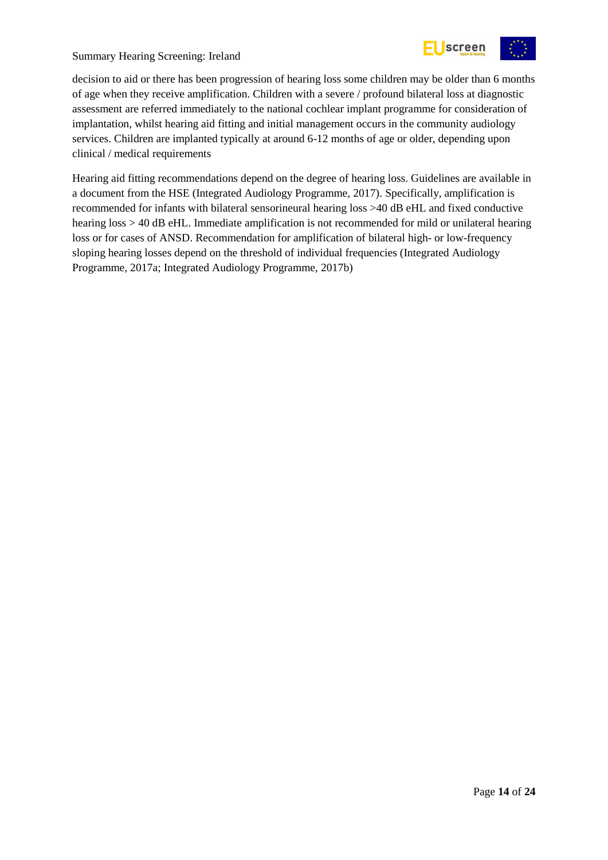

decision to aid or there has been progression of hearing loss some children may be older than 6 months of age when they receive amplification. Children with a severe / profound bilateral loss at diagnostic assessment are referred immediately to the national cochlear implant programme for consideration of implantation, whilst hearing aid fitting and initial management occurs in the community audiology services. Children are implanted typically at around 6-12 months of age or older, depending upon clinical / medical requirements

Hearing aid fitting recommendations depend on the degree of hearing loss. Guidelines are available in a document from the HSE (Integrated Audiology Programme, 2017). Specifically, amplification is recommended for infants with bilateral sensorineural hearing loss >40 dB eHL and fixed conductive hearing loss > 40 dB eHL. Immediate amplification is not recommended for mild or unilateral hearing loss or for cases of ANSD. Recommendation for amplification of bilateral high- or low-frequency sloping hearing losses depend on the threshold of individual frequencies (Integrated Audiology Programme, 2017a; Integrated Audiology Programme, 2017b)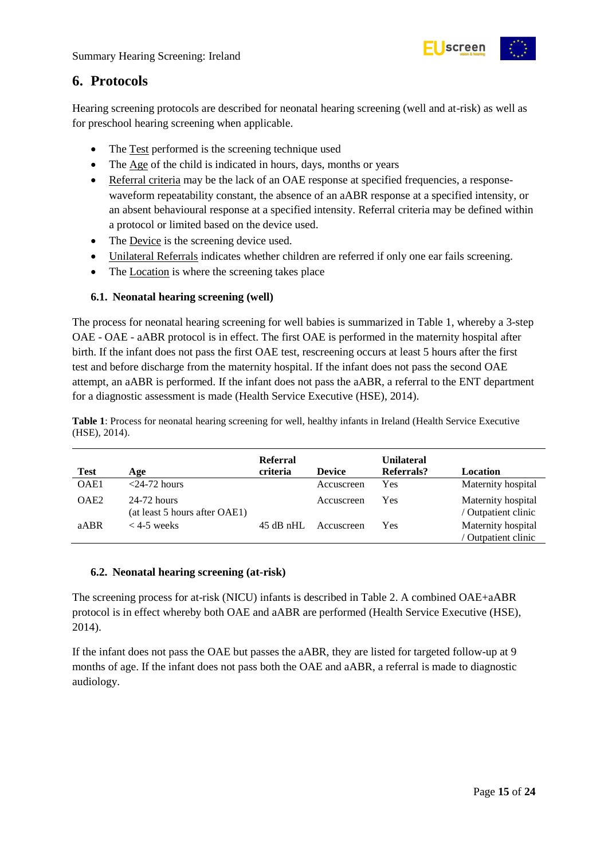

# <span id="page-14-0"></span>**6. Protocols**

Hearing screening protocols are described for neonatal hearing screening (well and at-risk) as well as for preschool hearing screening when applicable.

- The Test performed is the screening technique used
- The Age of the child is indicated in hours, days, months or years
- Referral criteria may be the lack of an OAE response at specified frequencies, a responsewaveform repeatability constant, the absence of an aABR response at a specified intensity, or an absent behavioural response at a specified intensity. Referral criteria may be defined within a protocol or limited based on the device used.
- The Device is the screening device used.
- Unilateral Referrals indicates whether children are referred if only one ear fails screening.
- The Location is where the screening takes place

# <span id="page-14-1"></span>**6.1. Neonatal hearing screening (well)**

The process for neonatal hearing screening for well babies is summarized in Table 1, whereby a 3-step OAE - OAE - aABR protocol is in effect. The first OAE is performed in the maternity hospital after birth. If the infant does not pass the first OAE test, rescreening occurs at least 5 hours after the first test and before discharge from the maternity hospital. If the infant does not pass the second OAE attempt, an aABR is performed. If the infant does not pass the aABR, a referral to the ENT department for a diagnostic assessment is made (Health Service Executive (HSE), 2014).

<span id="page-14-3"></span>**Table 1**: Process for neonatal hearing screening for well, healthy infants in Ireland (Health Service Executive (HSE), 2014).

| <b>Test</b>      | Age                                          | <b>Referral</b><br>criteria | <b>Device</b> | <b>Unilateral</b><br>Referrals? | Location                                  |
|------------------|----------------------------------------------|-----------------------------|---------------|---------------------------------|-------------------------------------------|
| OAE1             | $<$ 24-72 hours                              |                             | Accuscreen    | Yes                             | Maternity hospital                        |
| OAE <sub>2</sub> | 24-72 hours<br>(at least 5 hours after OAE1) |                             | Accuscreen    | Yes                             | Maternity hospital<br>/ Outpatient clinic |
| aABR             | $<$ 4-5 weeks                                | $45$ dB nHL                 | Accuscreen    | Yes                             | Maternity hospital<br>Outpatient clinic   |

# <span id="page-14-2"></span>**6.2. Neonatal hearing screening (at-risk)**

The screening process for at-risk (NICU) infants is described in Table 2. A combined OAE+aABR protocol is in effect whereby both OAE and aABR are performed (Health Service Executive (HSE), 2014).

If the infant does not pass the OAE but passes the aABR, they are listed for targeted follow-up at 9 months of age. If the infant does not pass both the OAE and aABR, a referral is made to diagnostic audiology.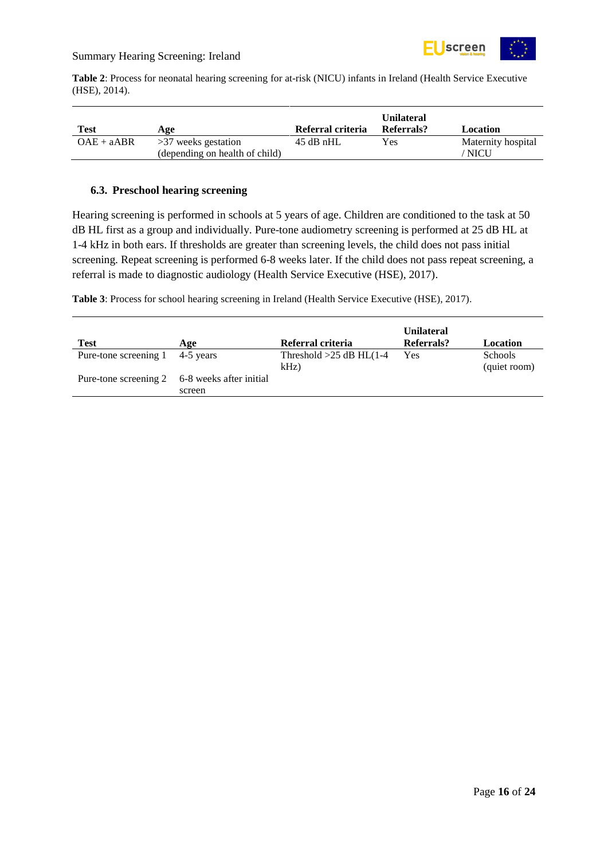

<span id="page-15-1"></span>**Table 2**: Process for neonatal hearing screening for at-risk (NICU) infants in Ireland (Health Service Executive (HSE), 2014).

| Test         | Age                            | Referral criteria | <b>Unilateral</b><br>Referrals? | Location           |
|--------------|--------------------------------|-------------------|---------------------------------|--------------------|
| $OAE + aABR$ | $>37$ weeks gestation          | $45$ dB nHL       | Yes                             | Maternity hospital |
|              | (depending on health of child) |                   |                                 | <b>NICU</b>        |

#### <span id="page-15-0"></span>**6.3. Preschool hearing screening**

Hearing screening is performed in schools at 5 years of age. Children are conditioned to the task at 50 dB HL first as a group and individually. Pure-tone audiometry screening is performed at 25 dB HL at 1-4 kHz in both ears. If thresholds are greater than screening levels, the child does not pass initial screening. Repeat screening is performed 6-8 weeks later. If the child does not pass repeat screening, a referral is made to diagnostic audiology (Health Service Executive (HSE), 2017).

<span id="page-15-2"></span>**Table 3**: Process for school hearing screening in Ireland (Health Service Executive (HSE), 2017).

| <b>Test</b>           | Age                                                     | Referral criteria                    | <b>Unilateral</b><br>Referrals? | Location                       |
|-----------------------|---------------------------------------------------------|--------------------------------------|---------------------------------|--------------------------------|
| Pure-tone screening 1 | 4-5 years                                               | Threshold $>25$ dB HL(1-4<br>$kHz$ ) | Yes                             | <b>Schools</b><br>(quiet room) |
|                       | Pure-tone screening 2 6-8 weeks after initial<br>screen |                                      |                                 |                                |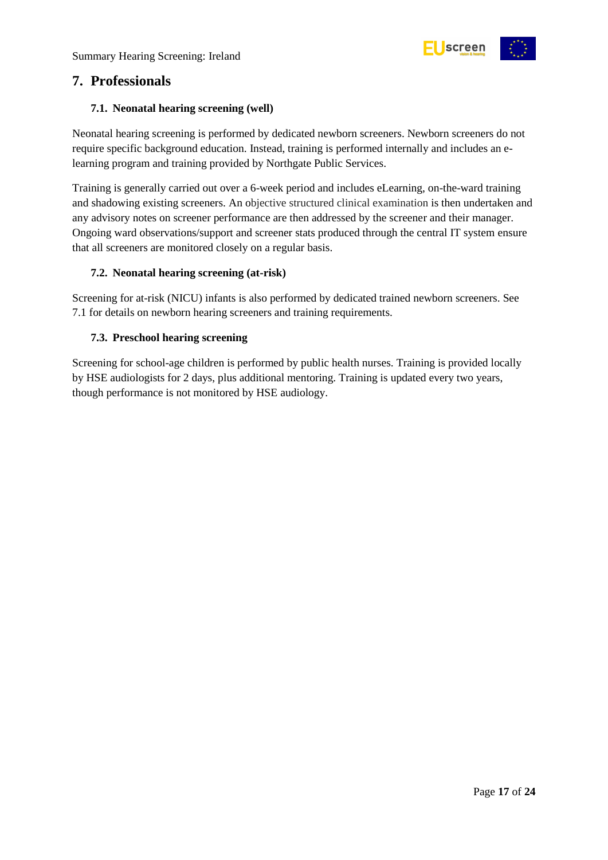

# <span id="page-16-0"></span>**7. Professionals**

# <span id="page-16-1"></span>**7.1. Neonatal hearing screening (well)**

Neonatal hearing screening is performed by dedicated newborn screeners. Newborn screeners do not require specific background education. Instead, training is performed internally and includes an elearning program and training provided by Northgate Public Services.

Training is generally carried out over a 6-week period and includes eLearning, on-the-ward training and shadowing existing screeners. An objective structured clinical examination is then undertaken and any advisory notes on screener performance are then addressed by the screener and their manager. Ongoing ward observations/support and screener stats produced through the central IT system ensure that all screeners are monitored closely on a regular basis.

# <span id="page-16-2"></span>**7.2. Neonatal hearing screening (at-risk)**

Screening for at-risk (NICU) infants is also performed by dedicated trained newborn screeners. See 7.1 for details on newborn hearing screeners and training requirements.

# <span id="page-16-3"></span>**7.3. Preschool hearing screening**

Screening for school-age children is performed by public health nurses. Training is provided locally by HSE audiologists for 2 days, plus additional mentoring. Training is updated every two years, though performance is not monitored by HSE audiology.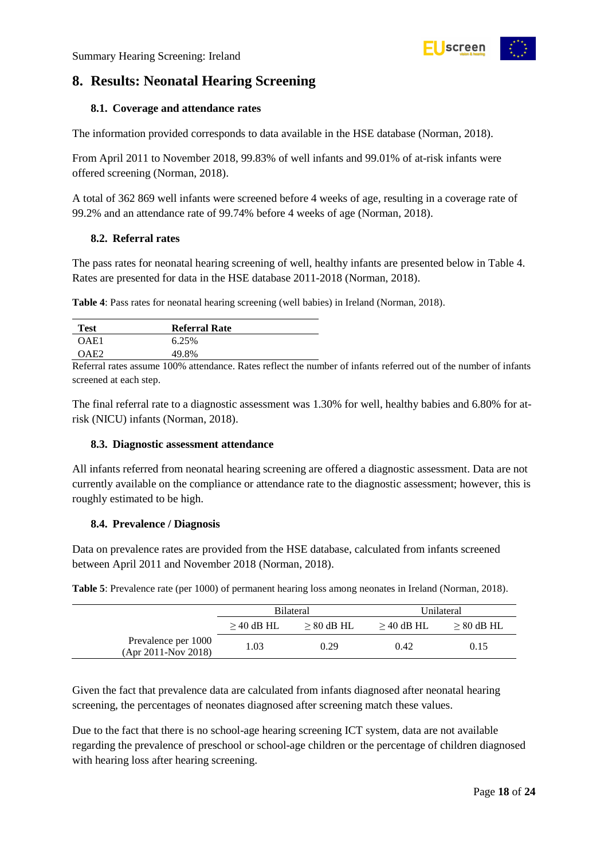

# <span id="page-17-0"></span>**8. Results: Neonatal Hearing Screening**

### <span id="page-17-1"></span>**8.1. Coverage and attendance rates**

The information provided corresponds to data available in the HSE database (Norman, 2018).

From April 2011 to November 2018, 99.83% of well infants and 99.01% of at-risk infants were offered screening (Norman, 2018).

A total of 362 869 well infants were screened before 4 weeks of age, resulting in a coverage rate of 99.2% and an attendance rate of 99.74% before 4 weeks of age (Norman, 2018).

#### <span id="page-17-2"></span>**8.2. Referral rates**

The pass rates for neonatal hearing screening of well, healthy infants are presented below in Table 4. Rates are presented for data in the HSE database 2011-2018 (Norman, 2018).

<span id="page-17-5"></span>**Table 4**: Pass rates for neonatal hearing screening (well babies) in Ireland (Norman, 2018).

| <b>Test</b>  | <b>Referral Rate</b> |
|--------------|----------------------|
| OAE1         | 6.25%                |
| $\Omega$ AF2 | 49.8%                |

Referral rates assume 100% attendance. Rates reflect the number of infants referred out of the number of infants screened at each step.

The final referral rate to a diagnostic assessment was 1.30% for well, healthy babies and 6.80% for atrisk (NICU) infants (Norman, 2018).

#### <span id="page-17-3"></span>**8.3. Diagnostic assessment attendance**

All infants referred from neonatal hearing screening are offered a diagnostic assessment. Data are not currently available on the compliance or attendance rate to the diagnostic assessment; however, this is roughly estimated to be high.

#### <span id="page-17-4"></span>**8.4. Prevalence / Diagnosis**

Data on prevalence rates are provided from the HSE database, calculated from infants screened between April 2011 and November 2018 (Norman, 2018).

<span id="page-17-6"></span>**Table 5**: Prevalence rate (per 1000) of permanent hearing loss among neonates in Ireland (Norman, 2018).

|                                            | <b>Bilateral</b>             |      | Unilateral   |              |
|--------------------------------------------|------------------------------|------|--------------|--------------|
|                                            | $>$ 40 dB HL<br>$> 80$ dB HL |      | $>$ 40 dB HL | $> 80$ dB HL |
| Prevalence per 1000<br>(Apr 2011-Nov 2018) | 1.03                         | 0.29 | 0.42         | 0.15         |

Given the fact that prevalence data are calculated from infants diagnosed after neonatal hearing screening, the percentages of neonates diagnosed after screening match these values.

Due to the fact that there is no school-age hearing screening ICT system, data are not available regarding the prevalence of preschool or school-age children or the percentage of children diagnosed with hearing loss after hearing screening.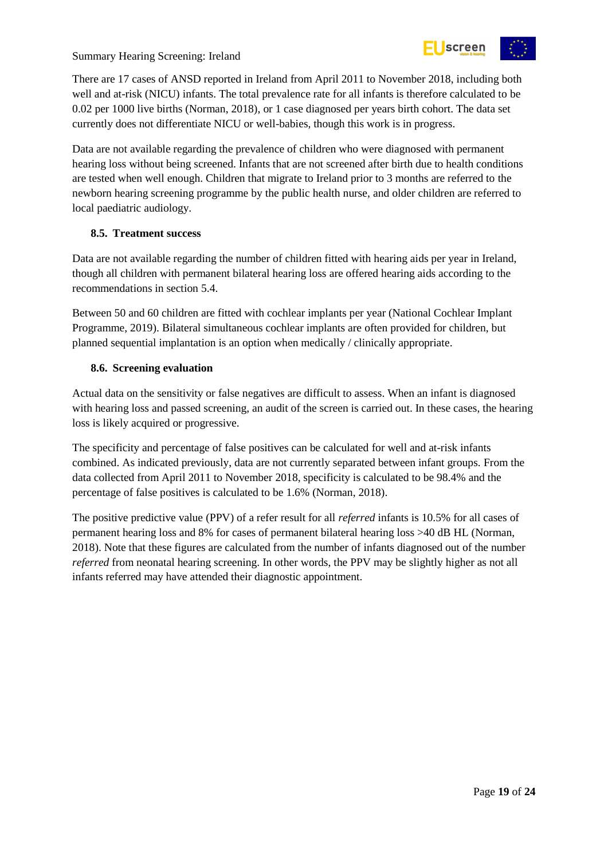

There are 17 cases of ANSD reported in Ireland from April 2011 to November 2018, including both well and at-risk (NICU) infants. The total prevalence rate for all infants is therefore calculated to be 0.02 per 1000 live births (Norman, 2018), or 1 case diagnosed per years birth cohort. The data set currently does not differentiate NICU or well-babies, though this work is in progress.

Data are not available regarding the prevalence of children who were diagnosed with permanent hearing loss without being screened. Infants that are not screened after birth due to health conditions are tested when well enough. Children that migrate to Ireland prior to 3 months are referred to the newborn hearing screening programme by the public health nurse, and older children are referred to local paediatric audiology.

# <span id="page-18-0"></span>**8.5. Treatment success**

Data are not available regarding the number of children fitted with hearing aids per year in Ireland, though all children with permanent bilateral hearing loss are offered hearing aids according to the recommendations in section 5.4.

Between 50 and 60 children are fitted with cochlear implants per year (National Cochlear Implant Programme, 2019). Bilateral simultaneous cochlear implants are often provided for children, but planned sequential implantation is an option when medically / clinically appropriate.

# <span id="page-18-1"></span>**8.6. Screening evaluation**

Actual data on the sensitivity or false negatives are difficult to assess. When an infant is diagnosed with hearing loss and passed screening, an audit of the screen is carried out. In these cases, the hearing loss is likely acquired or progressive.

The specificity and percentage of false positives can be calculated for well and at-risk infants combined. As indicated previously, data are not currently separated between infant groups. From the data collected from April 2011 to November 2018, specificity is calculated to be 98.4% and the percentage of false positives is calculated to be 1.6% (Norman, 2018).

The positive predictive value (PPV) of a refer result for all *referred* infants is 10.5% for all cases of permanent hearing loss and 8% for cases of permanent bilateral hearing loss >40 dB HL (Norman, 2018). Note that these figures are calculated from the number of infants diagnosed out of the number *referred* from neonatal hearing screening. In other words, the PPV may be slightly higher as not all infants referred may have attended their diagnostic appointment.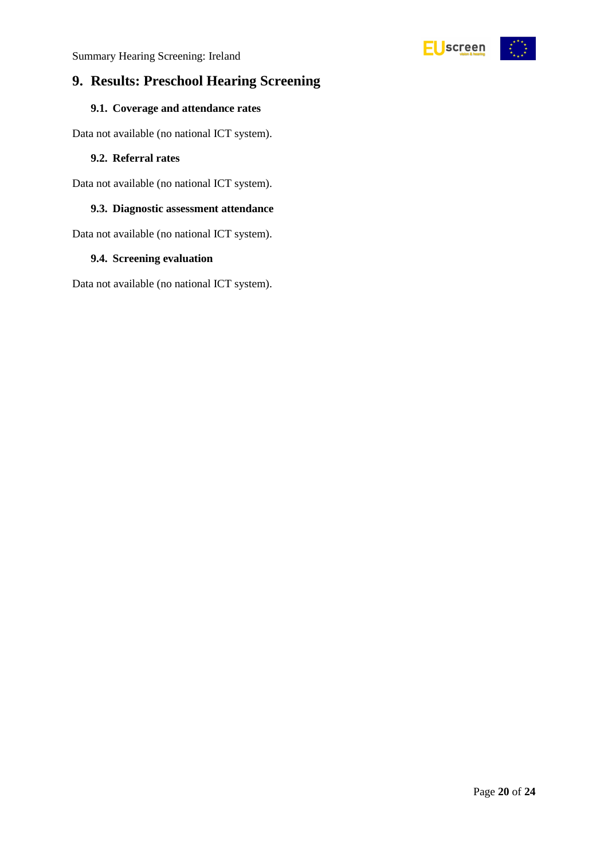

# <span id="page-19-0"></span>**9. Results: Preschool Hearing Screening**

# <span id="page-19-1"></span>**9.1. Coverage and attendance rates**

Data not available (no national ICT system).

#### <span id="page-19-2"></span>**9.2. Referral rates**

Data not available (no national ICT system).

# <span id="page-19-3"></span>**9.3. Diagnostic assessment attendance**

Data not available (no national ICT system).

#### <span id="page-19-4"></span>**9.4. Screening evaluation**

Data not available (no national ICT system).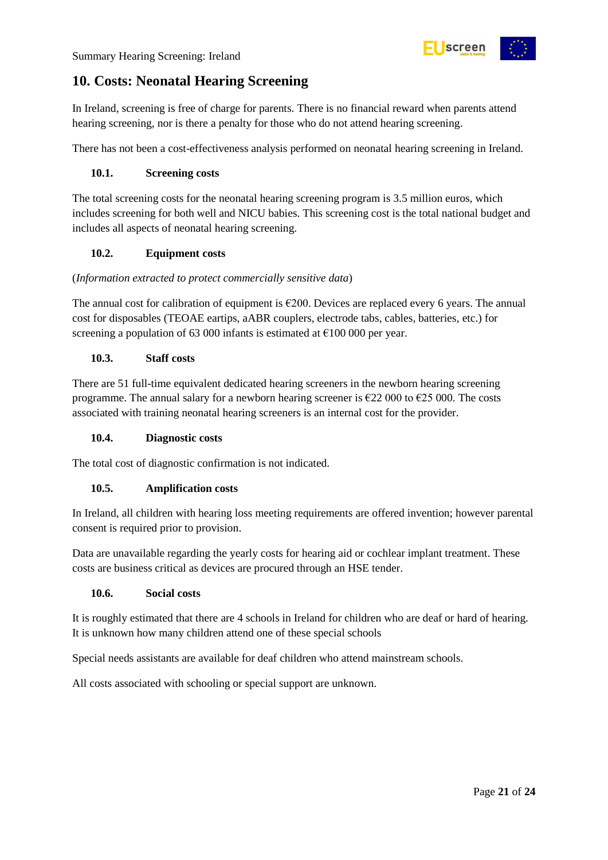

# <span id="page-20-0"></span>**10. Costs: Neonatal Hearing Screening**

In Ireland, screening is free of charge for parents. There is no financial reward when parents attend hearing screening, nor is there a penalty for those who do not attend hearing screening.

There has not been a cost-effectiveness analysis performed on neonatal hearing screening in Ireland.

# <span id="page-20-1"></span>**10.1. Screening costs**

The total screening costs for the neonatal hearing screening program is 3.5 million euros, which includes screening for both well and NICU babies. This screening cost is the total national budget and includes all aspects of neonatal hearing screening.

# <span id="page-20-2"></span>**10.2. Equipment costs**

# (*Information extracted to protect commercially sensitive data*)

The annual cost for calibration of equipment is  $\epsilon$ 200. Devices are replaced every 6 years. The annual cost for disposables (TEOAE eartips, aABR couplers, electrode tabs, cables, batteries, etc.) for screening a population of 63 000 infants is estimated at  $\epsilon$ 100 000 per year.

# <span id="page-20-3"></span>**10.3. Staff costs**

There are 51 full-time equivalent dedicated hearing screeners in the newborn hearing screening programme. The annual salary for a newborn hearing screener is  $\epsilon$ 22 000 to  $\epsilon$ 25 000. The costs associated with training neonatal hearing screeners is an internal cost for the provider.

# <span id="page-20-4"></span>**10.4. Diagnostic costs**

The total cost of diagnostic confirmation is not indicated.

# <span id="page-20-5"></span>**10.5. Amplification costs**

In Ireland, all children with hearing loss meeting requirements are offered invention; however parental consent is required prior to provision.

Data are unavailable regarding the yearly costs for hearing aid or cochlear implant treatment. These costs are business critical as devices are procured through an HSE tender.

#### <span id="page-20-6"></span>**10.6. Social costs**

It is roughly estimated that there are 4 schools in Ireland for children who are deaf or hard of hearing. It is unknown how many children attend one of these special schools

Special needs assistants are available for deaf children who attend mainstream schools.

All costs associated with schooling or special support are unknown.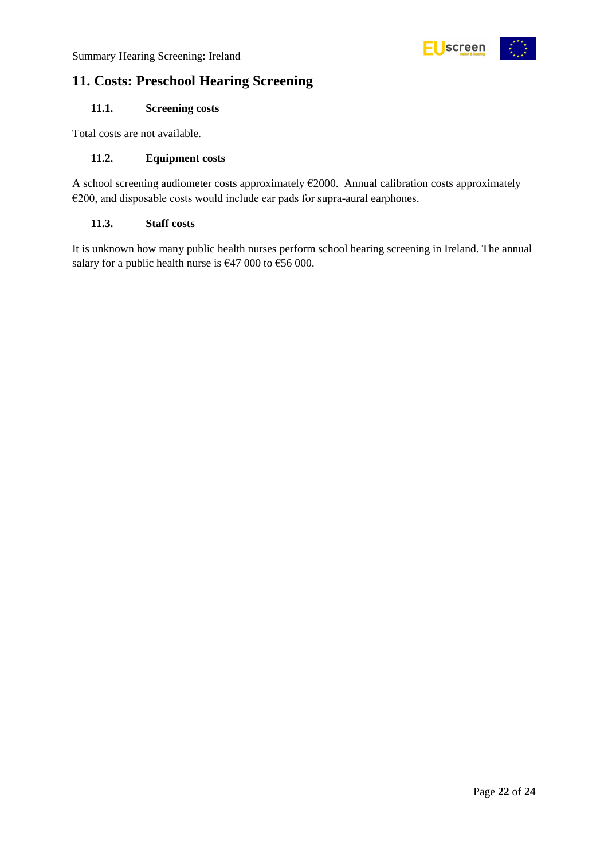

# <span id="page-21-0"></span>**11. Costs: Preschool Hearing Screening**

# <span id="page-21-1"></span>**11.1. Screening costs**

Total costs are not available.

# <span id="page-21-2"></span>**11.2. Equipment costs**

A school screening audiometer costs approximately  $E2000$ . Annual calibration costs approximately €200, and disposable costs would include ear pads for supra-aural earphones.

# <span id="page-21-3"></span>**11.3. Staff costs**

It is unknown how many public health nurses perform school hearing screening in Ireland. The annual salary for a public health nurse is  $\epsilon$ 47 000 to  $\epsilon$ 56 000.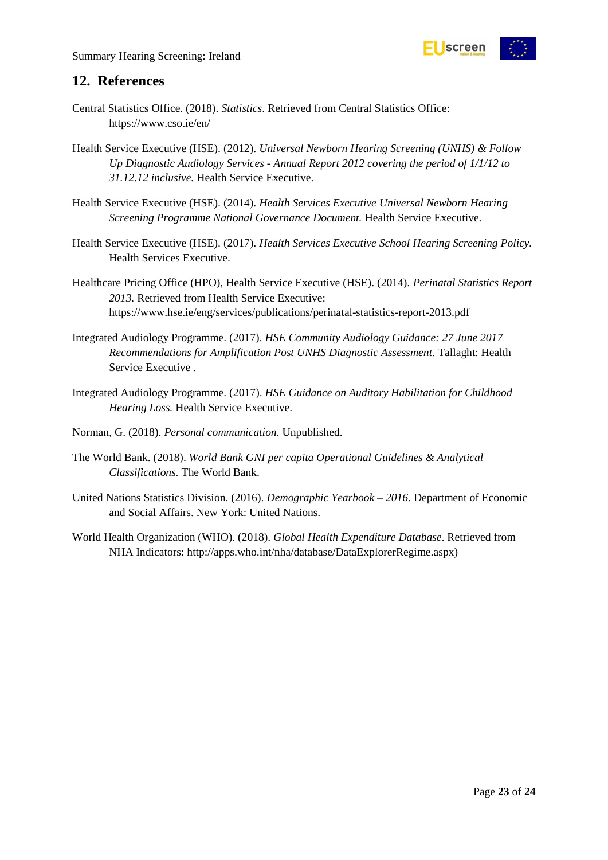

# <span id="page-22-0"></span>**12. References**

- Central Statistics Office. (2018). *Statistics*. Retrieved from Central Statistics Office: https://www.cso.ie/en/
- Health Service Executive (HSE). (2012). *Universal Newborn Hearing Screening (UNHS) & Follow Up Diagnostic Audiology Services - Annual Report 2012 covering the period of 1/1/12 to 31.12.12 inclusive.* Health Service Executive.
- Health Service Executive (HSE). (2014). *Health Services Executive Universal Newborn Hearing Screening Programme National Governance Document.* Health Service Executive.
- Health Service Executive (HSE). (2017). *Health Services Executive School Hearing Screening Policy.* Health Services Executive.
- Healthcare Pricing Office (HPO), Health Service Executive (HSE). (2014). *Perinatal Statistics Report 2013.* Retrieved from Health Service Executive: https://www.hse.ie/eng/services/publications/perinatal-statistics-report-2013.pdf
- Integrated Audiology Programme. (2017). *HSE Community Audiology Guidance: 27 June 2017 Recommendations for Amplification Post UNHS Diagnostic Assessment.* Tallaght: Health Service Executive .
- Integrated Audiology Programme. (2017). *HSE Guidance on Auditory Habilitation for Childhood Hearing Loss.* Health Service Executive.
- Norman, G. (2018). *Personal communication.* Unpublished.
- The World Bank. (2018). *World Bank GNI per capita Operational Guidelines & Analytical Classifications.* The World Bank.
- United Nations Statistics Division. (2016). *Demographic Yearbook – 2016.* Department of Economic and Social Affairs. New York: United Nations.
- World Health Organization (WHO). (2018). *Global Health Expenditure Database*. Retrieved from NHA Indicators: http://apps.who.int/nha/database/DataExplorerRegime.aspx)